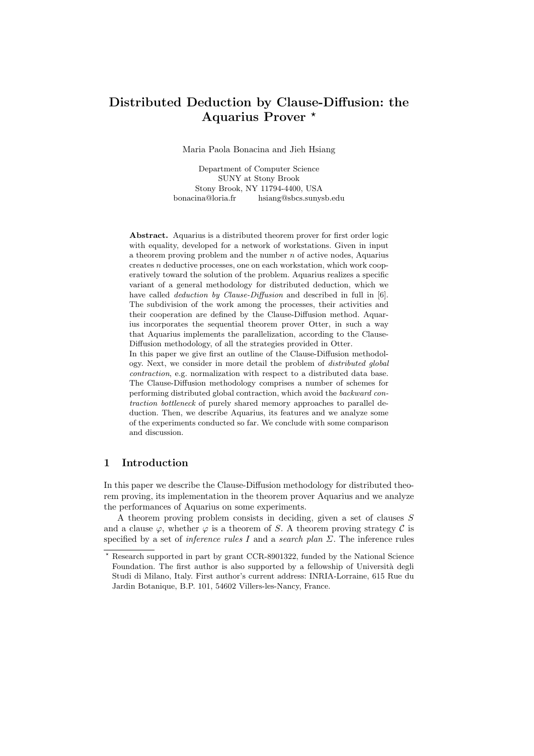# Distributed Deduction by Clause-Diffusion: the Aquarius Prover ?

Maria Paola Bonacina and Jieh Hsiang

Department of Computer Science SUNY at Stony Brook Stony Brook, NY 11794-4400, USA bonacina@loria.fr hsiang@sbcs.sunysb.edu

Abstract. Aquarius is a distributed theorem prover for first order logic with equality, developed for a network of workstations. Given in input a theorem proving problem and the number  $n$  of active nodes, Aquarius creates n deductive processes, one on each workstation, which work cooperatively toward the solution of the problem. Aquarius realizes a specific variant of a general methodology for distributed deduction, which we have called *deduction by Clause-Diffusion* and described in full in [6]. The subdivision of the work among the processes, their activities and their cooperation are defined by the Clause-Diffusion method. Aquarius incorporates the sequential theorem prover Otter, in such a way that Aquarius implements the parallelization, according to the Clause-Diffusion methodology, of all the strategies provided in Otter.

In this paper we give first an outline of the Clause-Diffusion methodology. Next, we consider in more detail the problem of distributed global contraction, e.g. normalization with respect to a distributed data base. The Clause-Diffusion methodology comprises a number of schemes for performing distributed global contraction, which avoid the backward contraction bottleneck of purely shared memory approaches to parallel deduction. Then, we describe Aquarius, its features and we analyze some of the experiments conducted so far. We conclude with some comparison and discussion.

# 1 Introduction

In this paper we describe the Clause-Diffusion methodology for distributed theorem proving, its implementation in the theorem prover Aquarius and we analyze the performances of Aquarius on some experiments.

A theorem proving problem consists in deciding, given a set of clauses  $S$ and a clause  $\varphi$ , whether  $\varphi$  is a theorem of S. A theorem proving strategy C is specified by a set of *inference rules I* and a *search plan*  $\Sigma$ . The inference rules

Research supported in part by grant CCR-8901322, funded by the National Science Foundation. The first author is also supported by a fellowship of Università degli Studi di Milano, Italy. First author's current address: INRIA-Lorraine, 615 Rue du Jardin Botanique, B.P. 101, 54602 Villers-les-Nancy, France.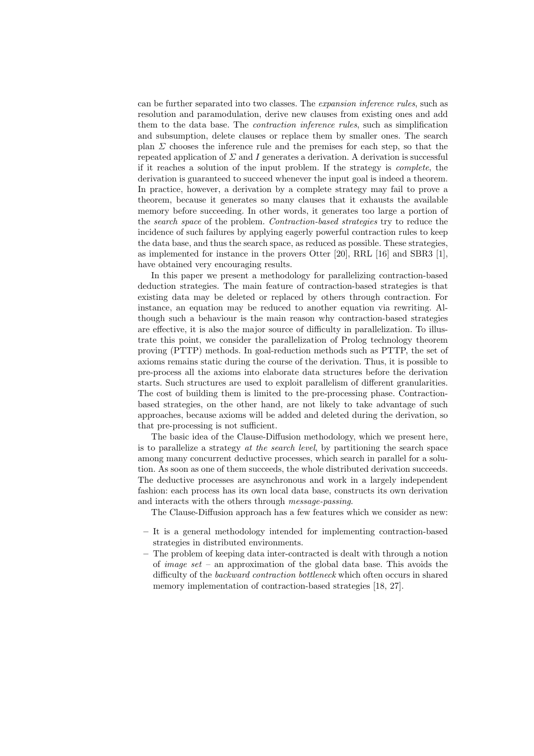can be further separated into two classes. The expansion inference rules, such as resolution and paramodulation, derive new clauses from existing ones and add them to the data base. The contraction inference rules, such as simplification and subsumption, delete clauses or replace them by smaller ones. The search plan  $\Sigma$  chooses the inference rule and the premises for each step, so that the repeated application of  $\Sigma$  and I generates a derivation. A derivation is successful if it reaches a solution of the input problem. If the strategy is complete, the derivation is guaranteed to succeed whenever the input goal is indeed a theorem. In practice, however, a derivation by a complete strategy may fail to prove a theorem, because it generates so many clauses that it exhausts the available memory before succeeding. In other words, it generates too large a portion of the search space of the problem. Contraction-based strategies try to reduce the incidence of such failures by applying eagerly powerful contraction rules to keep the data base, and thus the search space, as reduced as possible. These strategies, as implemented for instance in the provers Otter [20], RRL [16] and SBR3 [1], have obtained very encouraging results.

In this paper we present a methodology for parallelizing contraction-based deduction strategies. The main feature of contraction-based strategies is that existing data may be deleted or replaced by others through contraction. For instance, an equation may be reduced to another equation via rewriting. Although such a behaviour is the main reason why contraction-based strategies are effective, it is also the major source of difficulty in parallelization. To illustrate this point, we consider the parallelization of Prolog technology theorem proving (PTTP) methods. In goal-reduction methods such as PTTP, the set of axioms remains static during the course of the derivation. Thus, it is possible to pre-process all the axioms into elaborate data structures before the derivation starts. Such structures are used to exploit parallelism of different granularities. The cost of building them is limited to the pre-processing phase. Contractionbased strategies, on the other hand, are not likely to take advantage of such approaches, because axioms will be added and deleted during the derivation, so that pre-processing is not sufficient.

The basic idea of the Clause-Diffusion methodology, which we present here, is to parallelize a strategy at the search level, by partitioning the search space among many concurrent deductive processes, which search in parallel for a solution. As soon as one of them succeeds, the whole distributed derivation succeeds. The deductive processes are asynchronous and work in a largely independent fashion: each process has its own local data base, constructs its own derivation and interacts with the others through message-passing.

The Clause-Diffusion approach has a few features which we consider as new:

- It is a general methodology intended for implementing contraction-based strategies in distributed environments.
- The problem of keeping data inter-contracted is dealt with through a notion of *image set* – an approximation of the global data base. This avoids the difficulty of the backward contraction bottleneck which often occurs in shared memory implementation of contraction-based strategies [18, 27].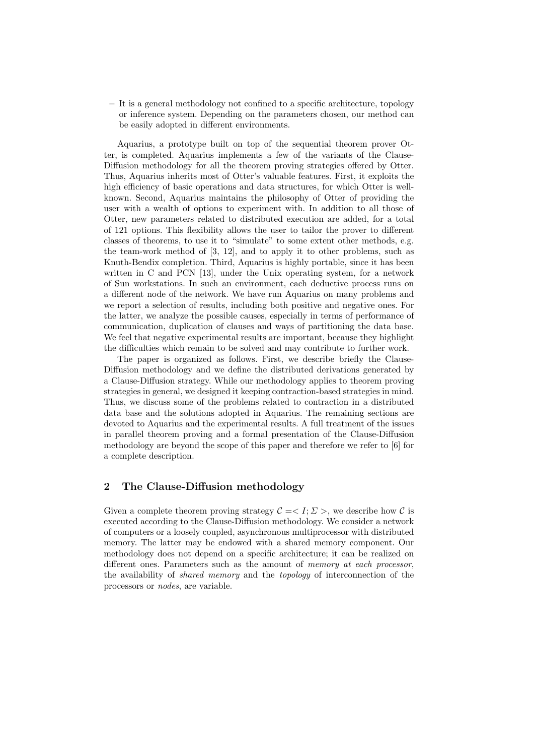– It is a general methodology not confined to a specific architecture, topology or inference system. Depending on the parameters chosen, our method can be easily adopted in different environments.

Aquarius, a prototype built on top of the sequential theorem prover Otter, is completed. Aquarius implements a few of the variants of the Clause-Diffusion methodology for all the theorem proving strategies offered by Otter. Thus, Aquarius inherits most of Otter's valuable features. First, it exploits the high efficiency of basic operations and data structures, for which Otter is wellknown. Second, Aquarius maintains the philosophy of Otter of providing the user with a wealth of options to experiment with. In addition to all those of Otter, new parameters related to distributed execution are added, for a total of 121 options. This flexibility allows the user to tailor the prover to different classes of theorems, to use it to "simulate" to some extent other methods, e.g. the team-work method of [3, 12], and to apply it to other problems, such as Knuth-Bendix completion. Third, Aquarius is highly portable, since it has been written in C and PCN [13], under the Unix operating system, for a network of Sun workstations. In such an environment, each deductive process runs on a different node of the network. We have run Aquarius on many problems and we report a selection of results, including both positive and negative ones. For the latter, we analyze the possible causes, especially in terms of performance of communication, duplication of clauses and ways of partitioning the data base. We feel that negative experimental results are important, because they highlight the difficulties which remain to be solved and may contribute to further work.

The paper is organized as follows. First, we describe briefly the Clause-Diffusion methodology and we define the distributed derivations generated by a Clause-Diffusion strategy. While our methodology applies to theorem proving strategies in general, we designed it keeping contraction-based strategies in mind. Thus, we discuss some of the problems related to contraction in a distributed data base and the solutions adopted in Aquarius. The remaining sections are devoted to Aquarius and the experimental results. A full treatment of the issues in parallel theorem proving and a formal presentation of the Clause-Diffusion methodology are beyond the scope of this paper and therefore we refer to [6] for a complete description.

# 2 The Clause-Diffusion methodology

Given a complete theorem proving strategy  $\mathcal{C} = \langle I; \Sigma \rangle$ , we describe how  $\mathcal C$  is executed according to the Clause-Diffusion methodology. We consider a network of computers or a loosely coupled, asynchronous multiprocessor with distributed memory. The latter may be endowed with a shared memory component. Our methodology does not depend on a specific architecture; it can be realized on different ones. Parameters such as the amount of memory at each processor, the availability of shared memory and the topology of interconnection of the processors or nodes, are variable.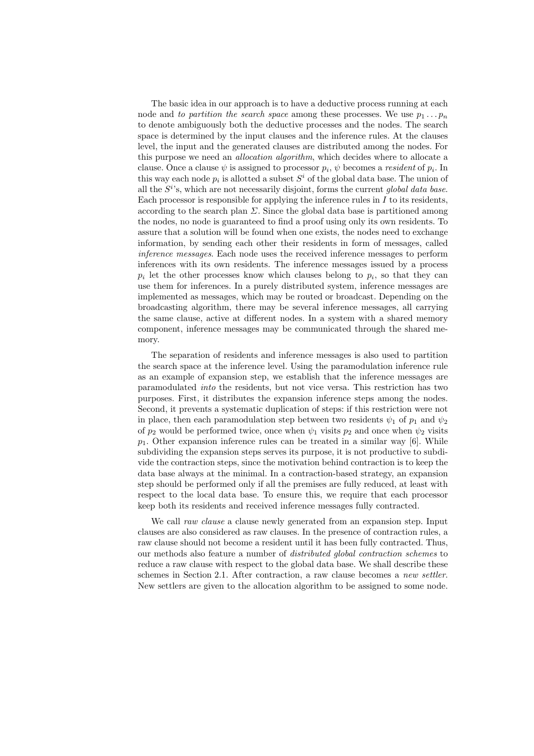The basic idea in our approach is to have a deductive process running at each node and to partition the search space among these processes. We use  $p_1 \ldots p_n$ to denote ambiguously both the deductive processes and the nodes. The search space is determined by the input clauses and the inference rules. At the clauses level, the input and the generated clauses are distributed among the nodes. For this purpose we need an allocation algorithm, which decides where to allocate a clause. Once a clause  $\psi$  is assigned to processor  $p_i$ ,  $\psi$  becomes a *resident* of  $p_i$ . In this way each node  $p_i$  is allotted a subset  $S^i$  of the global data base. The union of all the  $S^{i}$ 's, which are not necessarily disjoint, forms the current global data base. Each processor is responsible for applying the inference rules in  $I$  to its residents, according to the search plan  $\Sigma$ . Since the global data base is partitioned among the nodes, no node is guaranteed to find a proof using only its own residents. To assure that a solution will be found when one exists, the nodes need to exchange information, by sending each other their residents in form of messages, called inference messages. Each node uses the received inference messages to perform inferences with its own residents. The inference messages issued by a process  $p_i$  let the other processes know which clauses belong to  $p_i$ , so that they can use them for inferences. In a purely distributed system, inference messages are implemented as messages, which may be routed or broadcast. Depending on the broadcasting algorithm, there may be several inference messages, all carrying the same clause, active at different nodes. In a system with a shared memory component, inference messages may be communicated through the shared memory.

The separation of residents and inference messages is also used to partition the search space at the inference level. Using the paramodulation inference rule as an example of expansion step, we establish that the inference messages are paramodulated into the residents, but not vice versa. This restriction has two purposes. First, it distributes the expansion inference steps among the nodes. Second, it prevents a systematic duplication of steps: if this restriction were not in place, then each paramodulation step between two residents  $\psi_1$  of  $p_1$  and  $\psi_2$ of  $p_2$  would be performed twice, once when  $\psi_1$  visits  $p_2$  and once when  $\psi_2$  visits  $p_1$ . Other expansion inference rules can be treated in a similar way [6]. While subdividing the expansion steps serves its purpose, it is not productive to subdivide the contraction steps, since the motivation behind contraction is to keep the data base always at the minimal. In a contraction-based strategy, an expansion step should be performed only if all the premises are fully reduced, at least with respect to the local data base. To ensure this, we require that each processor keep both its residents and received inference messages fully contracted.

We call raw clause a clause newly generated from an expansion step. Input clauses are also considered as raw clauses. In the presence of contraction rules, a raw clause should not become a resident until it has been fully contracted. Thus, our methods also feature a number of distributed global contraction schemes to reduce a raw clause with respect to the global data base. We shall describe these schemes in Section 2.1. After contraction, a raw clause becomes a new settler. New settlers are given to the allocation algorithm to be assigned to some node.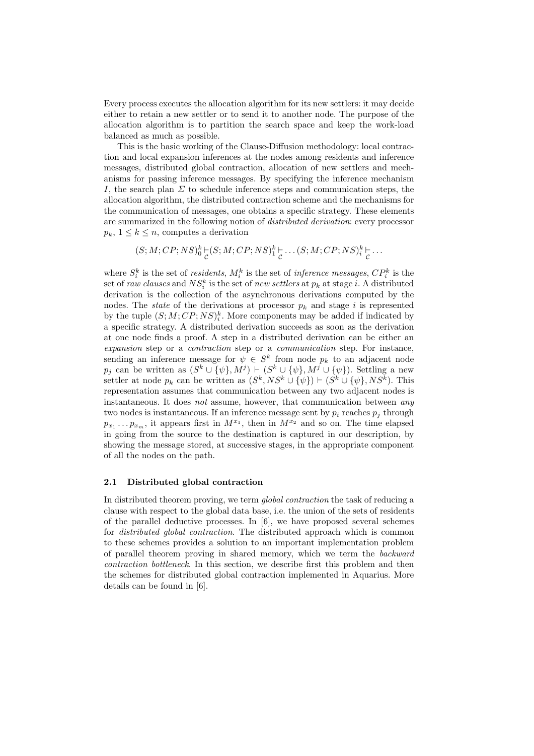Every process executes the allocation algorithm for its new settlers: it may decide either to retain a new settler or to send it to another node. The purpose of the allocation algorithm is to partition the search space and keep the work-load balanced as much as possible.

This is the basic working of the Clause-Diffusion methodology: local contraction and local expansion inferences at the nodes among residents and inference messages, distributed global contraction, allocation of new settlers and mechanisms for passing inference messages. By specifying the inference mechanism I, the search plan  $\Sigma$  to schedule inference steps and communication steps, the allocation algorithm, the distributed contraction scheme and the mechanisms for the communication of messages, one obtains a specific strategy. These elements are summarized in the following notion of distributed derivation: every processor  $p_k$ ,  $1 \leq k \leq n$ , computes a derivation

$$
(S; M; CP; NS)^k_0\underset{\mathcal{C}}{\leftarrow}(S; M; CP; NS)^k_1\underset{\mathcal{C}}{\leftarrow}\dots(S; M; CP; NS)^k_i\underset{\mathcal{C}}{\leftarrow}\dots
$$

where  $S_i^k$  is the set of *residents*,  $M_i^k$  is the set of *inference messages*,  $CP_i^k$  is the set of *raw clauses* and  $NS_i^k$  is the set of *new settlers* at  $p_k$  at stage *i*. A distributed derivation is the collection of the asynchronous derivations computed by the nodes. The *state* of the derivations at processor  $p_k$  and stage i is represented by the tuple  $(S; M; CP; NS)_i^k$ . More components may be added if indicated by a specific strategy. A distributed derivation succeeds as soon as the derivation at one node finds a proof. A step in a distributed derivation can be either an expansion step or a contraction step or a communication step. For instance, sending an inference message for  $\psi \in S^k$  from node  $p_k$  to an adjacent node  $p_j$  can be written as  $(S^k \cup {\psi}, M^j) \vdash (S^k \cup {\psi}, M^j \cup {\psi})$ . Settling a new settler at node  $p_k$  can be written as  $(S^k, NS^k \cup {\psi}) \vdash (S^k \cup {\psi}, NS^k)$ . This representation assumes that communication between any two adjacent nodes is instantaneous. It does not assume, however, that communication between any two nodes is instantaneous. If an inference message sent by  $p_i$  reaches  $p_i$  through  $p_{x_1} \dots p_{x_m}$ , it appears first in  $M^{x_1}$ , then in  $M^{x_2}$  and so on. The time elapsed in going from the source to the destination is captured in our description, by showing the message stored, at successive stages, in the appropriate component of all the nodes on the path.

#### 2.1 Distributed global contraction

In distributed theorem proving, we term global contraction the task of reducing a clause with respect to the global data base, i.e. the union of the sets of residents of the parallel deductive processes. In [6], we have proposed several schemes for distributed global contraction. The distributed approach which is common to these schemes provides a solution to an important implementation problem of parallel theorem proving in shared memory, which we term the backward contraction bottleneck. In this section, we describe first this problem and then the schemes for distributed global contraction implemented in Aquarius. More details can be found in [6].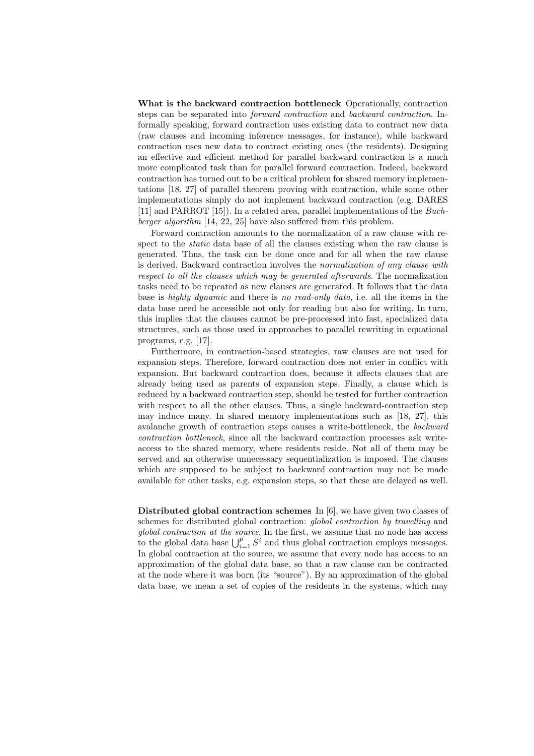What is the backward contraction bottleneck Operationally, contraction steps can be separated into forward contraction and backward contraction. Informally speaking, forward contraction uses existing data to contract new data (raw clauses and incoming inference messages, for instance), while backward contraction uses new data to contract existing ones (the residents). Designing an effective and efficient method for parallel backward contraction is a much more complicated task than for parallel forward contraction. Indeed, backward contraction has turned out to be a critical problem for shared memory implementations [18, 27] of parallel theorem proving with contraction, while some other implementations simply do not implement backward contraction (e.g. DARES [11] and PARROT [15]). In a related area, parallel implementations of the Buchberger algorithm [14, 22, 25] have also suffered from this problem.

Forward contraction amounts to the normalization of a raw clause with respect to the *static* data base of all the clauses existing when the raw clause is generated. Thus, the task can be done once and for all when the raw clause is derived. Backward contraction involves the normalization of any clause with respect to all the clauses which may be generated afterwards. The normalization tasks need to be repeated as new clauses are generated. It follows that the data base is highly dynamic and there is no read-only data, i.e. all the items in the data base need be accessible not only for reading but also for writing. In turn, this implies that the clauses cannot be pre-processed into fast, specialized data structures, such as those used in approaches to parallel rewriting in equational programs, e.g. [17].

Furthermore, in contraction-based strategies, raw clauses are not used for expansion steps. Therefore, forward contraction does not enter in conflict with expansion. But backward contraction does, because it affects clauses that are already being used as parents of expansion steps. Finally, a clause which is reduced by a backward contraction step, should be tested for further contraction with respect to all the other clauses. Thus, a single backward-contraction step may induce many. In shared memory implementations such as [18, 27], this avalanche growth of contraction steps causes a write-bottleneck, the backward contraction bottleneck, since all the backward contraction processes ask writeaccess to the shared memory, where residents reside. Not all of them may be served and an otherwise unnecessary sequentialization is imposed. The clauses which are supposed to be subject to backward contraction may not be made available for other tasks, e.g. expansion steps, so that these are delayed as well.

Distributed global contraction schemes In [6], we have given two classes of schemes for distributed global contraction: global contraction by travelling and global contraction at the source. In the first, we assume that no node has access to the global data base  $\bigcup_{i=1}^p S^i$  and thus global contraction employs messages. In global contraction at the source, we assume that every node has access to an approximation of the global data base, so that a raw clause can be contracted at the node where it was born (its "source"). By an approximation of the global data base, we mean a set of copies of the residents in the systems, which may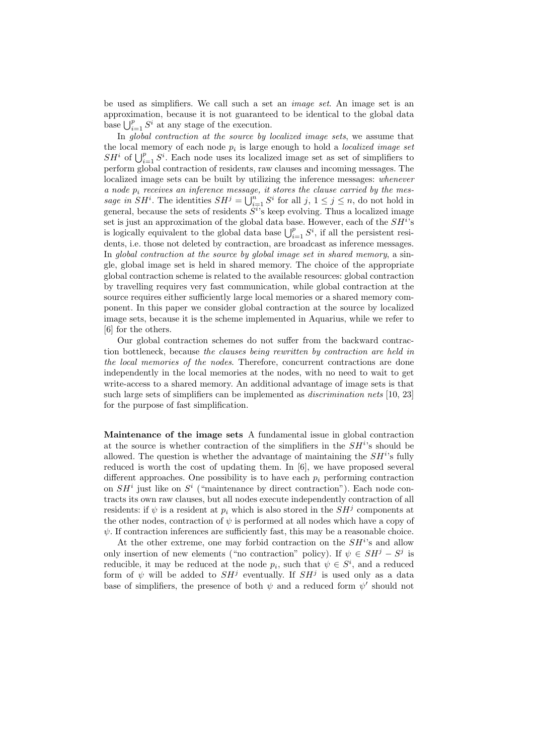be used as simplifiers. We call such a set an image set. An image set is an approximation, because it is not guaranteed to be identical to the global data base  $\bigcup_{i=1}^p S^i$  at any stage of the execution.

In global contraction at the source by localized image sets, we assume that the local memory of each node  $p_i$  is large enough to hold a *localized image set*  $SH^i$  of  $\bigcup_{i=1}^p S^i$ . Each node uses its localized image set as set of simplifiers to perform global contraction of residents, raw clauses and incoming messages. The localized image sets can be built by utilizing the inference messages: whenever a node  $p_i$  receives an inference message, it stores the clause carried by the message in  $SH^i$ . The identities  $SH^j = \bigcup_{i=1}^n S^i$  for all  $j, 1 \leq j \leq n$ , do not hold in general, because the sets of residents  $S^{i}$ 's keep evolving. Thus a localized image set is just an approximation of the global data base. However, each of the  $SH<sup>i</sup>$ 's is logically equivalent to the global data base  $\bigcup_{i=1}^p S^i$ , if all the persistent residents, i.e. those not deleted by contraction, are broadcast as inference messages. In global contraction at the source by global image set in shared memory, a single, global image set is held in shared memory. The choice of the appropriate global contraction scheme is related to the available resources: global contraction by travelling requires very fast communication, while global contraction at the source requires either sufficiently large local memories or a shared memory component. In this paper we consider global contraction at the source by localized image sets, because it is the scheme implemented in Aquarius, while we refer to [6] for the others.

Our global contraction schemes do not suffer from the backward contraction bottleneck, because the clauses being rewritten by contraction are held in the local memories of the nodes. Therefore, concurrent contractions are done independently in the local memories at the nodes, with no need to wait to get write-access to a shared memory. An additional advantage of image sets is that such large sets of simplifiers can be implemented as discrimination nets [10, 23] for the purpose of fast simplification.

Maintenance of the image sets A fundamental issue in global contraction at the source is whether contraction of the simplifiers in the  $SH<sup>i</sup>$ 's should be allowed. The question is whether the advantage of maintaining the  $SH<sup>i</sup>$ 's fully reduced is worth the cost of updating them. In [6], we have proposed several different approaches. One possibility is to have each  $p_i$  performing contraction on  $SH<sup>i</sup>$  just like on  $S<sup>i</sup>$  ("maintenance by direct contraction"). Each node contracts its own raw clauses, but all nodes execute independently contraction of all residents: if  $\psi$  is a resident at  $p_i$  which is also stored in the  $SH^j$  components at the other nodes, contraction of  $\psi$  is performed at all nodes which have a copy of  $\psi$ . If contraction inferences are sufficiently fast, this may be a reasonable choice.

At the other extreme, one may forbid contraction on the  $SH<sup>i</sup>$ 's and allow only insertion of new elements ("no contraction" policy). If  $\psi \in SH^j - S^j$  is reducible, it may be reduced at the node  $p_i$ , such that  $\psi \in S^i$ , and a reduced form of  $\psi$  will be added to  $SH<sup>j</sup>$  eventually. If  $SH<sup>j</sup>$  is used only as a data base of simplifiers, the presence of both  $\psi$  and a reduced form  $\psi'$  should not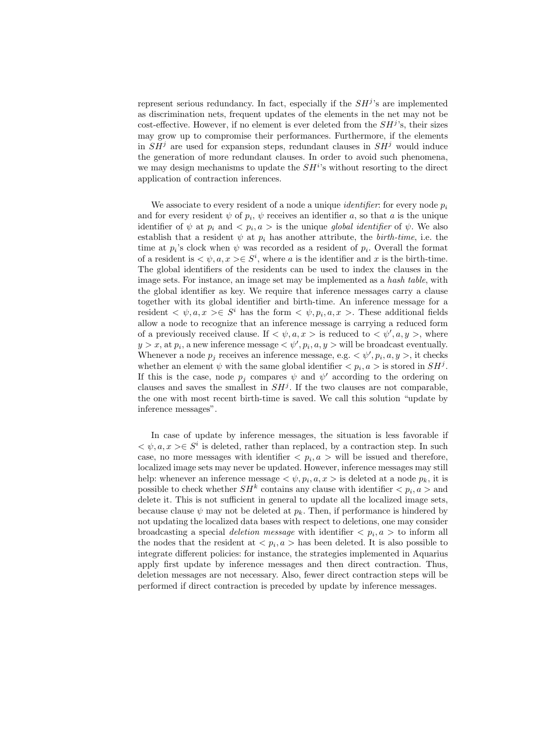represent serious redundancy. In fact, especially if the  $SH<sup>j</sup>$ 's are implemented as discrimination nets, frequent updates of the elements in the net may not be cost-effective. However, if no element is ever deleted from the  $SH<sup>j</sup>$ 's, their sizes may grow up to compromise their performances. Furthermore, if the elements in  $SH<sup>j</sup>$  are used for expansion steps, redundant clauses in  $SH<sup>j</sup>$  would induce the generation of more redundant clauses. In order to avoid such phenomena, we may design mechanisms to update the  $SH<sup>i</sup>$ 's without resorting to the direct application of contraction inferences.

We associate to every resident of a node a unique *identifier*: for every node  $p_i$ and for every resident  $\psi$  of  $p_i$ ,  $\psi$  receives an identifier a, so that a is the unique identifier of  $\psi$  at  $p_i$  and  $\langle p_i, a \rangle$  is the unique global identifier of  $\psi$ . We also establish that a resident  $\psi$  at  $p_i$  has another attribute, the *birth-time*, i.e. the time at  $p_i$ 's clock when  $\psi$  was recorded as a resident of  $p_i$ . Overall the format of a resident is  $\langle \psi, a, x \rangle \in S^i$ , where a is the identifier and x is the birth-time. The global identifiers of the residents can be used to index the clauses in the image sets. For instance, an image set may be implemented as a hash table, with the global identifier as key. We require that inference messages carry a clause together with its global identifier and birth-time. An inference message for a resident  $\langle \psi, a, x \rangle \in S^i$  has the form  $\langle \psi, p_i, a, x \rangle$ . These additional fields allow a node to recognize that an inference message is carrying a reduced form of a previously received clause. If  $\langle \psi, a, x \rangle$  is reduced to  $\langle \psi', a, y \rangle$ , where  $y > x$ , at  $p_i$ , a new inference message  $\langle \psi', p_i, a, y \rangle$  will be broadcast eventually. Whenever a node  $p_j$  receives an inference message, e.g.  $\langle \psi', p_i, a, y \rangle$ , it checks whether an element  $\psi$  with the same global identifier  $\langle p_i, a \rangle$  is stored in  $SH^j$ . If this is the case, node  $p_j$  compares  $\psi$  and  $\psi'$  according to the ordering on clauses and saves the smallest in  $SH<sup>j</sup>$ . If the two clauses are not comparable, the one with most recent birth-time is saved. We call this solution "update by inference messages".

In case of update by inference messages, the situation is less favorable if  $\langle \psi, a, x \rangle \in S^i$  is deleted, rather than replaced, by a contraction step. In such case, no more messages with identifier  $\langle p_i, a \rangle$  will be issued and therefore, localized image sets may never be updated. However, inference messages may still help: whenever an inference message  $\langle \psi, p_i, a, x \rangle$  is deleted at a node  $p_k$ , it is possible to check whether  $SH^k$  contains any clause with identifier  $\langle p_i, a \rangle$  and delete it. This is not sufficient in general to update all the localized image sets, because clause  $\psi$  may not be deleted at  $p_k$ . Then, if performance is hindered by not updating the localized data bases with respect to deletions, one may consider broadcasting a special *deletion message* with identifier  $\langle p_i, a \rangle$  to inform all the nodes that the resident at  $\langle p_i, a \rangle$  has been deleted. It is also possible to integrate different policies: for instance, the strategies implemented in Aquarius apply first update by inference messages and then direct contraction. Thus, deletion messages are not necessary. Also, fewer direct contraction steps will be performed if direct contraction is preceded by update by inference messages.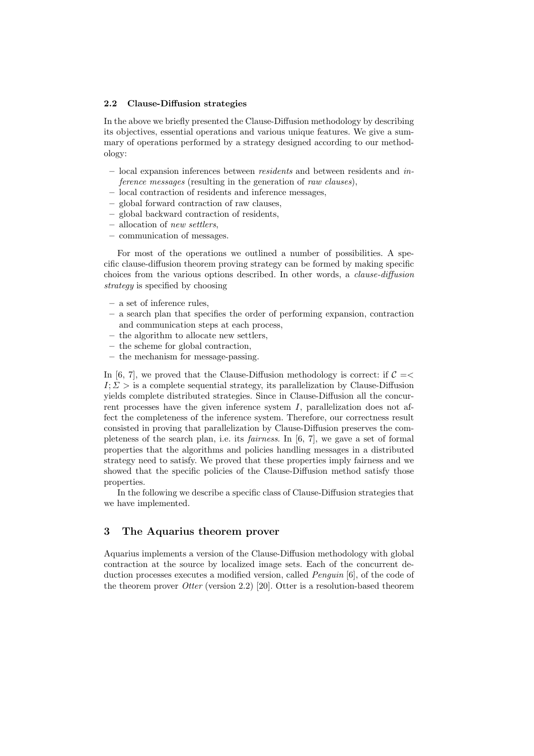### 2.2 Clause-Diffusion strategies

In the above we briefly presented the Clause-Diffusion methodology by describing its objectives, essential operations and various unique features. We give a summary of operations performed by a strategy designed according to our methodology:

- $-$  local expansion inferences between *residents* and between residents and *in*ference messages (resulting in the generation of raw clauses),
- local contraction of residents and inference messages,
- global forward contraction of raw clauses,
- global backward contraction of residents,
- allocation of new settlers,
- communication of messages.

For most of the operations we outlined a number of possibilities. A specific clause-diffusion theorem proving strategy can be formed by making specific choices from the various options described. In other words, a clause-diffusion strategy is specified by choosing

- a set of inference rules,
- a search plan that specifies the order of performing expansion, contraction and communication steps at each process,
- the algorithm to allocate new settlers,
- the scheme for global contraction,
- the mechanism for message-passing.

In [6, 7], we proved that the Clause-Diffusion methodology is correct: if  $C = \leq$  $I; \Sigma >$  is a complete sequential strategy, its parallelization by Clause-Diffusion yields complete distributed strategies. Since in Clause-Diffusion all the concurrent processes have the given inference system  $I$ , parallelization does not affect the completeness of the inference system. Therefore, our correctness result consisted in proving that parallelization by Clause-Diffusion preserves the completeness of the search plan, i.e. its fairness. In [6, 7], we gave a set of formal properties that the algorithms and policies handling messages in a distributed strategy need to satisfy. We proved that these properties imply fairness and we showed that the specific policies of the Clause-Diffusion method satisfy those properties.

In the following we describe a specific class of Clause-Diffusion strategies that we have implemented.

# 3 The Aquarius theorem prover

Aquarius implements a version of the Clause-Diffusion methodology with global contraction at the source by localized image sets. Each of the concurrent deduction processes executes a modified version, called Penguin [6], of the code of the theorem prover Otter (version 2.2) [20]. Otter is a resolution-based theorem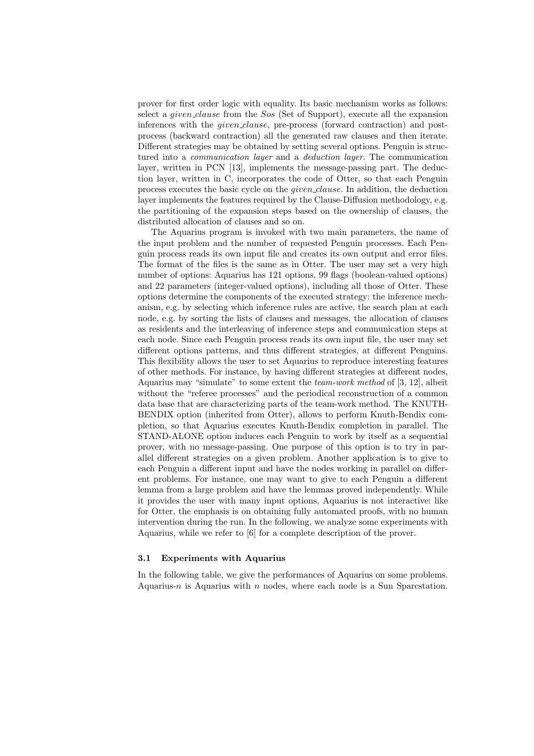prover for first order logic with equality. Its basic mechanism works as follows: select a *given\_clause* from the Sos (Set of Support), execute all the expansion inferences with the *given clause*, pre-process (forward contraction) and postprocess (backward contraction) all the generated raw clauses and then iterate. Different strategies may be obtained by setting several options. Penguin is structured into a communication layer and a deduction layer. The communication layer, written in PCN [13], implements the message-passing part. The deduction layer, written in C, incorporates the code of Otter, so that each Penguin process executes the basic cycle on the given clause. In addition, the deduction layer implements the features required by the Clause-Diffusion methodology, e.g. the partitioning of the expansion steps based on the ownership of clauses, the distributed allocation of clauses and so on.

The Aquarius program is invoked with two main parameters, the name of the input problem and the number of requested Penguin processes. Each Penguin process reads its own input file and creates its own output and error files. The format of the files is the same as in Otter. The user may set a very high number of options: Aquarius has 121 options, 99 flags (boolean-valued options) and 22 parameters (integer-valued options), including all those of Otter. These options determine the components of the executed strategy: the inference mechanism, e.g. by selecting which inference rules are active, the search plan at each node, e.g. by sorting the lists of clauses and messages, the allocation of clauses as residents and the interleaving of inference steps and communication steps at each node. Since each Penguin process reads its own input file, the user may set different options patterns, and thus different strategies, at different Penguins. This flexibility allows the user to set Aquarius to reproduce interesting features of other methods. For instance, by having different strategies at different nodes, Aquarius may "simulate" to some extent the team-work method of [3, 12], albeit without the "referee processes" and the periodical reconstruction of a common data base that are characterizing parts of the team-work method. The KNUTH-BENDIX option (inherited from Otter), allows to perform Knuth-Bendix completion, so that Aquarius executes Knuth-Bendix completion in parallel. The STAND-ALONE option induces each Penguin to work by itself as a sequential prover, with no message-passing. One purpose of this option is to try in parallel different strategies on a given problem. Another application is to give to each Penguin a different input and have the nodes working in parallel on different problems. For instance, one may want to give to each Penguin a different lemma from a large problem and have the lemmas proved independently. While it provides the user with many input options, Aquarius is not interactive: like for Otter, the emphasis is on obtaining fully automated proofs, with no human intervention during the run. In the following, we analyze some experiments with Aquarius, while we refer to [6] for a complete description of the prover.

#### 3.1 Experiments with Aquarius

In the following table, we give the performances of Aquarius on some problems. Aquarius-n is Aquarius with  $n$  nodes, where each node is a Sun Sparcstation.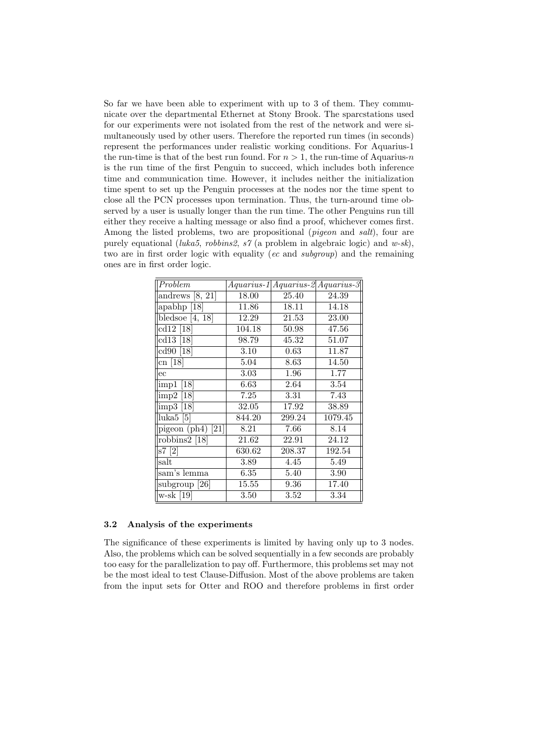So far we have been able to experiment with up to 3 of them. They communicate over the departmental Ethernet at Stony Brook. The sparcstations used for our experiments were not isolated from the rest of the network and were simultaneously used by other users. Therefore the reported run times (in seconds) represent the performances under realistic working conditions. For Aquarius-1 the run-time is that of the best run found. For  $n > 1$ , the run-time of Aquarius-n is the run time of the first Penguin to succeed, which includes both inference time and communication time. However, it includes neither the initialization time spent to set up the Penguin processes at the nodes nor the time spent to close all the PCN processes upon termination. Thus, the turn-around time observed by a user is usually longer than the run time. The other Penguins run till either they receive a halting message or also find a proof, whichever comes first. Among the listed problems, two are propositional (*pigeon* and *salt*), four are purely equational (luka5, robbins2, s7 (a problem in algebraic logic) and w-sk), two are in first order logic with equality (ec and subgroup) and the remaining ones are in first order logic.

| Problem                |        |        | $A quarius-1   Aquarius-2   Aquarius-3 $ |
|------------------------|--------|--------|------------------------------------------|
| andrews $[8, 21]$      | 18.00  | 25.40  | 24.39                                    |
| apabhp $\overline{18}$ | 11.86  | 18.11  | 14.18                                    |
| bledsoe $[4, 18]$      | 12.29  | 21.53  | 23.00                                    |
| cd12 [18]              | 104.18 | 50.98  | 47.56                                    |
| $cd13$ [18]            | 98.79  | 45.32  | 51.07                                    |
| $cd90$ [18]            | 3.10   | 0.63   | 11.87                                    |
| cn [18]                | 5.04   | 8.63   | 14.50                                    |
| ec                     | 3.03   | 1.96   | 1.77                                     |
| $impl$ [18]            | 6.63   | 2.64   | 3.54                                     |
| $imp2$ [18]            | 7.25   | 3.31   | 7.43                                     |
| $imp3$ [18]            | 32.05  | 17.92  | 38.89                                    |
| $luka5$ [5]            | 844.20 | 299.24 | 1079.45                                  |
| pigeon (ph4) $[21]$    | 8.21   | 7.66   | 8.14                                     |
| robbins $2$ [18]       | 21.62  | 22.91  | 24.12                                    |
| $s7$ [2]               | 630.62 | 208.37 | 192.54                                   |
| salt                   | 3.89   | 4.45   | 5.49                                     |
| sam's lemma            | 6.35   | 5.40   | 3.90                                     |
| subgroup $[26]$        | 15.55  | 9.36   | 17.40                                    |
| w-sk [19]              | 3.50   | 3.52   | 3.34                                     |

### 3.2 Analysis of the experiments

The significance of these experiments is limited by having only up to 3 nodes. Also, the problems which can be solved sequentially in a few seconds are probably too easy for the parallelization to pay off. Furthermore, this problems set may not be the most ideal to test Clause-Diffusion. Most of the above problems are taken from the input sets for Otter and ROO and therefore problems in first order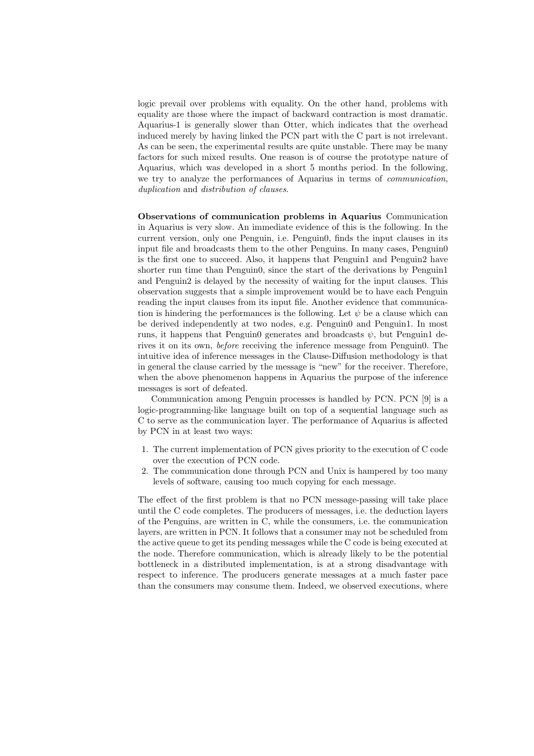logic prevail over problems with equality. On the other hand, problems with equality are those where the impact of backward contraction is most dramatic. Aquarius-1 is generally slower than Otter, which indicates that the overhead induced merely by having linked the PCN part with the C part is not irrelevant. As can be seen, the experimental results are quite unstable. There may be many factors for such mixed results. One reason is of course the prototype nature of Aquarius, which was developed in a short 5 months period. In the following, we try to analyze the performances of Aquarius in terms of communication, duplication and distribution of clauses.

Observations of communication problems in Aquarius Communication in Aquarius is very slow. An immediate evidence of this is the following. In the current version, only one Penguin, i.e. Penguin0, finds the input clauses in its input file and broadcasts them to the other Penguins. In many cases, Penguin0 is the first one to succeed. Also, it happens that Penguin1 and Penguin2 have shorter run time than Penguin0, since the start of the derivations by Penguin1 and Penguin2 is delayed by the necessity of waiting for the input clauses. This observation suggests that a simple improvement would be to have each Penguin reading the input clauses from its input file. Another evidence that communication is hindering the performances is the following. Let  $\psi$  be a clause which can be derived independently at two nodes, e.g. Penguin0 and Penguin1. In most runs, it happens that Penguin0 generates and broadcasts  $\psi$ , but Penguin1 derives it on its own, before receiving the inference message from Penguin0. The intuitive idea of inference messages in the Clause-Diffusion methodology is that in general the clause carried by the message is "new" for the receiver. Therefore, when the above phenomenon happens in Aquarius the purpose of the inference messages is sort of defeated.

Communication among Penguin processes is handled by PCN. PCN [9] is a logic-programming-like language built on top of a sequential language such as C to serve as the communication layer. The performance of Aquarius is affected by PCN in at least two ways:

- 1. The current implementation of PCN gives priority to the execution of C code over the execution of PCN code.
- 2. The communication done through PCN and Unix is hampered by too many levels of software, causing too much copying for each message.

The effect of the first problem is that no PCN message-passing will take place until the C code completes. The producers of messages, i.e. the deduction layers of the Penguins, are written in C, while the consumers, i.e. the communication layers, are written in PCN. It follows that a consumer may not be scheduled from the active queue to get its pending messages while the C code is being executed at the node. Therefore communication, which is already likely to be the potential bottleneck in a distributed implementation, is at a strong disadvantage with respect to inference. The producers generate messages at a much faster pace than the consumers may consume them. Indeed, we observed executions, where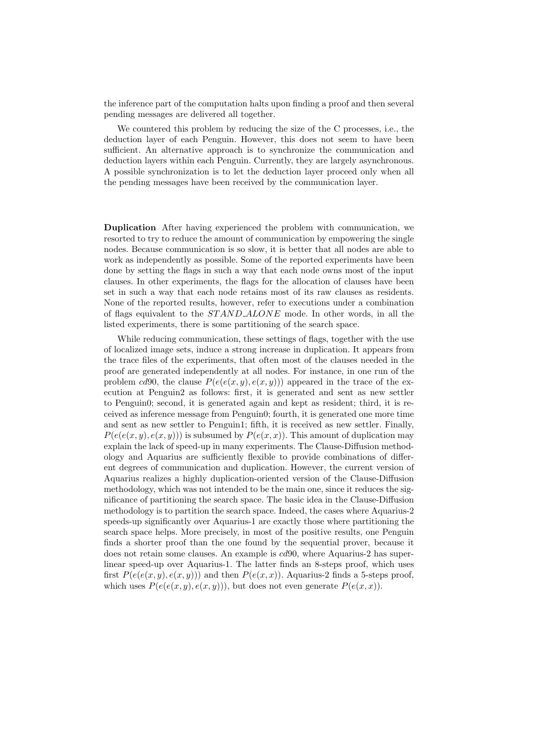the inference part of the computation halts upon finding a proof and then several pending messages are delivered all together.

We countered this problem by reducing the size of the C processes, i.e., the deduction layer of each Penguin. However, this does not seem to have been sufficient. An alternative approach is to synchronize the communication and deduction layers within each Penguin. Currently, they are largely asynchronous. A possible synchronization is to let the deduction layer proceed only when all the pending messages have been received by the communication layer.

Duplication After having experienced the problem with communication, we resorted to try to reduce the amount of communication by empowering the single nodes. Because communication is so slow, it is better that all nodes are able to work as independently as possible. Some of the reported experiments have been done by setting the flags in such a way that each node owns most of the input clauses. In other experiments, the flags for the allocation of clauses have been set in such a way that each node retains most of its raw clauses as residents. None of the reported results, however, refer to executions under a combination of flags equivalent to the ST AND ALONE mode. In other words, in all the listed experiments, there is some partitioning of the search space.

While reducing communication, these settings of flags, together with the use of localized image sets, induce a strong increase in duplication. It appears from the trace files of the experiments, that often most of the clauses needed in the proof are generated independently at all nodes. For instance, in one run of the problem cd90, the clause  $P(e(e(x, y), e(x, y)))$  appeared in the trace of the execution at Penguin2 as follows: first, it is generated and sent as new settler to Penguin0; second, it is generated again and kept as resident; third, it is received as inference message from Penguin0; fourth, it is generated one more time and sent as new settler to Penguin1; fifth, it is received as new settler. Finally,  $P(e(e(x, y), e(x, y)))$  is subsumed by  $P(e(x, x))$ . This amount of duplication may explain the lack of speed-up in many experiments. The Clause-Diffusion methodology and Aquarius are sufficiently flexible to provide combinations of different degrees of communication and duplication. However, the current version of Aquarius realizes a highly duplication-oriented version of the Clause-Diffusion methodology, which was not intended to be the main one, since it reduces the significance of partitioning the search space. The basic idea in the Clause-Diffusion methodology is to partition the search space. Indeed, the cases where Aquarius-2 speeds-up significantly over Aquarius-1 are exactly those where partitioning the search space helps. More precisely, in most of the positive results, one Penguin finds a shorter proof than the one found by the sequential prover, because it does not retain some clauses. An example is cd90, where Aquarius-2 has superlinear speed-up over Aquarius-1. The latter finds an 8-steps proof, which uses first  $P(e(e(x, y), e(x, y)))$  and then  $P(e(x, x))$ . Aquarius-2 finds a 5-steps proof, which uses  $P(e(e(x, y), e(x, y)))$ , but does not even generate  $P(e(x, x))$ .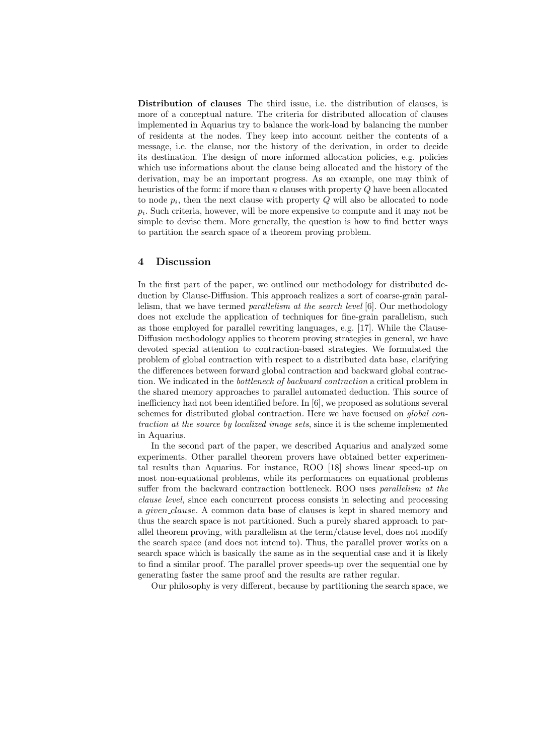Distribution of clauses The third issue, i.e. the distribution of clauses, is more of a conceptual nature. The criteria for distributed allocation of clauses implemented in Aquarius try to balance the work-load by balancing the number of residents at the nodes. They keep into account neither the contents of a message, i.e. the clause, nor the history of the derivation, in order to decide its destination. The design of more informed allocation policies, e.g. policies which use informations about the clause being allocated and the history of the derivation, may be an important progress. As an example, one may think of heuristics of the form: if more than  $n$  clauses with property  $Q$  have been allocated to node  $p_i$ , then the next clause with property  $Q$  will also be allocated to node  $p_i$ . Such criteria, however, will be more expensive to compute and it may not be simple to devise them. More generally, the question is how to find better ways to partition the search space of a theorem proving problem.

## 4 Discussion

In the first part of the paper, we outlined our methodology for distributed deduction by Clause-Diffusion. This approach realizes a sort of coarse-grain parallelism, that we have termed parallelism at the search level [6]. Our methodology does not exclude the application of techniques for fine-grain parallelism, such as those employed for parallel rewriting languages, e.g. [17]. While the Clause-Diffusion methodology applies to theorem proving strategies in general, we have devoted special attention to contraction-based strategies. We formulated the problem of global contraction with respect to a distributed data base, clarifying the differences between forward global contraction and backward global contraction. We indicated in the bottleneck of backward contraction a critical problem in the shared memory approaches to parallel automated deduction. This source of inefficiency had not been identified before. In [6], we proposed as solutions several schemes for distributed global contraction. Here we have focused on global contraction at the source by localized image sets, since it is the scheme implemented in Aquarius.

In the second part of the paper, we described Aquarius and analyzed some experiments. Other parallel theorem provers have obtained better experimental results than Aquarius. For instance, ROO [18] shows linear speed-up on most non-equational problems, while its performances on equational problems suffer from the backward contraction bottleneck. ROO uses parallelism at the clause level, since each concurrent process consists in selecting and processing a given clause. A common data base of clauses is kept in shared memory and thus the search space is not partitioned. Such a purely shared approach to parallel theorem proving, with parallelism at the term/clause level, does not modify the search space (and does not intend to). Thus, the parallel prover works on a search space which is basically the same as in the sequential case and it is likely to find a similar proof. The parallel prover speeds-up over the sequential one by generating faster the same proof and the results are rather regular.

Our philosophy is very different, because by partitioning the search space, we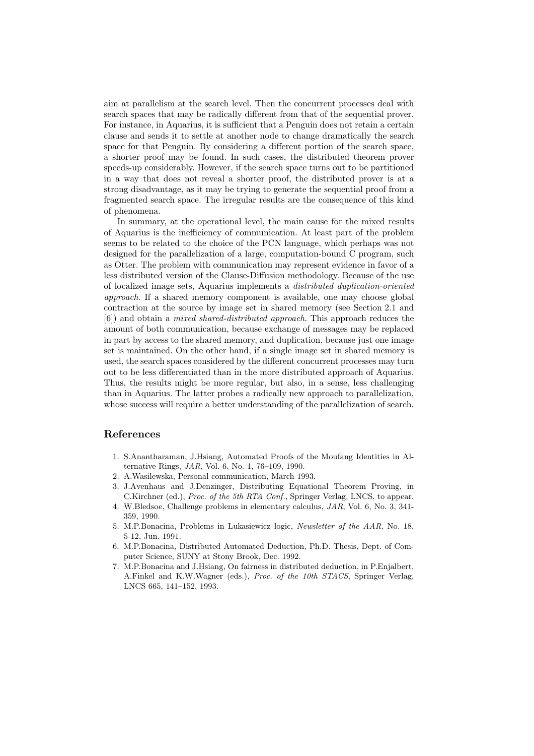aim at parallelism at the search level. Then the concurrent processes deal with search spaces that may be radically different from that of the sequential prover. For instance, in Aquarius, it is sufficient that a Penguin does not retain a certain clause and sends it to settle at another node to change dramatically the search space for that Penguin. By considering a different portion of the search space, a shorter proof may be found. In such cases, the distributed theorem prover speeds-up considerably. However, if the search space turns out to be partitioned in a way that does not reveal a shorter proof, the distributed prover is at a strong disadvantage, as it may be trying to generate the sequential proof from a fragmented search space. The irregular results are the consequence of this kind of phenomena.

In summary, at the operational level, the main cause for the mixed results of Aquarius is the inefficiency of communication. At least part of the problem seems to be related to the choice of the PCN language, which perhaps was not designed for the parallelization of a large, computation-bound C program, such as Otter. The problem with communication may represent evidence in favor of a less distributed version of the Clause-Diffusion methodology. Because of the use of localized image sets, Aquarius implements a distributed duplication-oriented approach. If a shared memory component is available, one may choose global contraction at the source by image set in shared memory (see Section 2.1 and [6]) and obtain a mixed shared-distributed approach. This approach reduces the amount of both communication, because exchange of messages may be replaced in part by access to the shared memory, and duplication, because just one image set is maintained. On the other hand, if a single image set in shared memory is used, the search spaces considered by the different concurrent processes may turn out to be less differentiated than in the more distributed approach of Aquarius. Thus, the results might be more regular, but also, in a sense, less challenging than in Aquarius. The latter probes a radically new approach to parallelization, whose success will require a better understanding of the parallelization of search.

## References

- 1. S.Anantharaman, J.Hsiang, Automated Proofs of the Moufang Identities in Alternative Rings, JAR, Vol. 6, No. 1, 76–109, 1990.
- 2. A.Wasilewska, Personal communication, March 1993.
- 3. J.Avenhaus and J.Denzinger, Distributing Equational Theorem Proving, in C.Kirchner (ed.), Proc. of the 5th RTA Conf., Springer Verlag, LNCS, to appear.
- 4. W.Bledsoe, Challenge problems in elementary calculus, JAR, Vol. 6, No. 3, 341- 359, 1990.
- 5. M.P.Bonacina, Problems in Lukasiewicz logic, Newsletter of the AAR, No. 18, 5-12, Jun. 1991.
- 6. M.P.Bonacina, Distributed Automated Deduction, Ph.D. Thesis, Dept. of Computer Science, SUNY at Stony Brook, Dec. 1992.
- 7. M.P.Bonacina and J.Hsiang, On fairness in distributed deduction, in P.Enjalbert, A.Finkel and K.W.Wagner (eds.), Proc. of the 10th STACS, Springer Verlag, LNCS 665, 141–152, 1993.